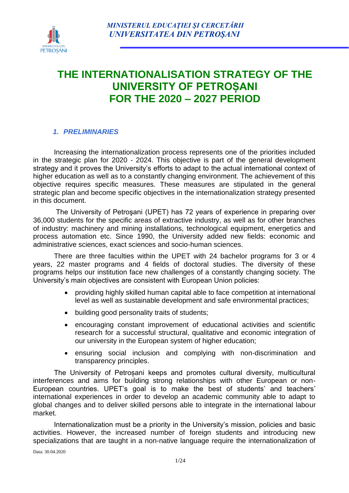

# **THE INTERNATIONALISATION STRATEGY OF THE UNIVERSITY OF PETROȘANI FOR THE 2020 – 2027 PERIOD**

#### *1. PRELIMINARIES*

Increasing the internationalization process represents one of the priorities included in the strategic plan for 2020 - 2024. This objective is part of the general development strategy and it proves the University's efforts to adapt to the actual international context of higher education as well as to a constantly changing environment. The achievement of this objective requires specific measures. These measures are stipulated in the general strategic plan and become specific objectives in the internationalization strategy presented in this document.

The University of Petroşani (UPET) has 72 years of experience in preparing over 36,000 students for the specific areas of extractive industry, as well as for other branches of industry: machinery and mining installations, technological equipment, energetics and process automation etc. Since 1990, the University added new fields: economic and administrative sciences, exact sciences and socio-human sciences.

There are three faculties within the UPET with 24 bachelor programs for 3 or 4 years, 22 master programs and 4 fields of doctoral studies. The diversity of these programs helps our institution face new challenges of a constantly changing society. The University's main objectives are consistent with European Union policies:

- providing highly skilled human capital able to face competition at international level as well as sustainable development and safe environmental practices;
- building good personality traits of students;
- encouraging constant improvement of educational activities and scientific research for a successful structural, qualitative and economic integration of our university in the European system of higher education;
- ensuring social inclusion and complying with non-discrimination and transparency principles.

The University of Petroșani keeps and promotes cultural diversity, multicultural interferences and aims for building strong relationships with other European or non-European countries. UPET's goal is to make the best of students' and teachers' international experiences in order to develop an academic community able to adapt to global changes and to deliver skilled persons able to integrate in the international labour market.

Internationalization must be a priority in the University's mission, policies and basic activities. However, the increased number of foreign students and introducing new specializations that are taught in a non-native language require the internationalization of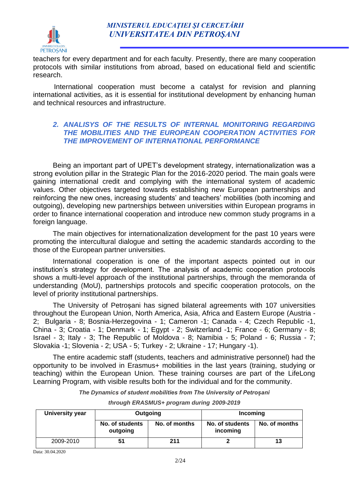teachers for every department and for each faculty. Presently, there are many cooperation protocols with similar institutions from abroad, based on educational field and scientific research.

International cooperation must become a catalyst for revision and planning international activities, as it is essential for institutional development by enhancing human and technical resources and infrastructure.

#### *2. ANALISYS OF THE RESULTS OF INTERNAL MONITORING REGARDING THE MOBILITIES AND THE EUROPEAN COOPERATION ACTIVITIES FOR THE IMPROVEMENT OF INTERNATIONAL PERFORMANCE*

Being an important part of UPET's development strategy, internationalization was a strong evolution pillar in the Strategic Plan for the 2016-2020 period. The main goals were gaining international credit and complying with the international system of academic values. Other objectives targeted towards establishing new European partnerships and reinforcing the new ones, increasing students' and teachers' mobilities (both incoming and outgoing), developing new partnerships between universities within European programs in order to finance international cooperation and introduce new common study programs in a foreign language.

The main objectives for internationalization development for the past 10 years were promoting the intercultural dialogue and setting the academic standards according to the those of the European partner universities.

International cooperation is one of the important aspects pointed out in our institution's strategy for development. The analysis of academic cooperation protocols shows a multi-level approach of the institutional partnerships, through the memoranda of understanding (MoU), partnerships protocols and specific cooperation protocols, on the level of priority institutional partnerships.

The University of Petroșani has signed bilateral agreements with 107 universities throughout the European Union, North America, Asia, Africa and Eastern Europe (Austria - 2; Bulgaria - 8; Bosnia-Herzegovina - 1; Cameron -1; Canada - 4; Czech Republic -1, China - 3; Croatia - 1; Denmark - 1; Egypt - 2; Switzerland -1; France - 6; Germany - 8; Israel - 3; Italy - 3; The Republic of Moldova - 8; Namibia - 5; Poland - 6; Russia - 7; Slovakia -1; Slovenia - 2; USA - 5; Turkey - 2; Ukraine - 17; Hungary -1).

The entire academic staff (students, teachers and administrative personnel) had the opportunity to be involved in Erasmus+ mobilities in the last years (training, studying or teaching) within the European Union. These training courses are part of the LifeLong Learning Program, with visible results both for the individual and for the community.

*The Dynamics of student mobilities from The University of Petroșani*

| University year | Outgoing                    |               | Incoming                    |               |
|-----------------|-----------------------------|---------------|-----------------------------|---------------|
|                 | No. of students<br>outgoing | No. of months | No. of students<br>incoming | No. of months |
| 2009-2010       | 51                          | 211           |                             | 13            |

*through ERASMUS+ program during 2009-2019*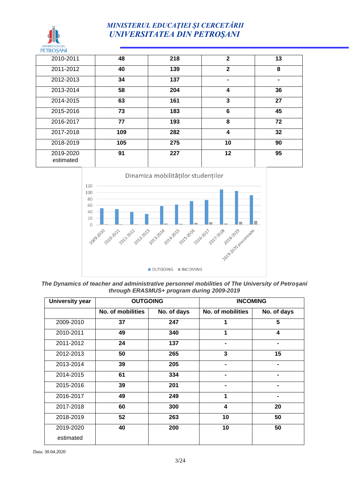#### *MINISTERUL EDUCAŢIEI ŞI CERCETĂRII UNIVERSITATEA DIN PETROŞANI*

| <b>PETROȘANI</b>       |     |     |              |                |
|------------------------|-----|-----|--------------|----------------|
| 2010-2011              | 48  | 218 | $\mathbf{2}$ | 13             |
| 2011-2012              | 40  | 139 | $\mathbf{2}$ | 8              |
| 2012-2013              | 34  | 137 |              | $\blacksquare$ |
| 2013-2014              | 58  | 204 | 4            | 36             |
| 2014-2015              | 63  | 161 | 3            | 27             |
| 2015-2016              | 73  | 183 | 6            | 45             |
| 2016-2017              | 77  | 193 | 8            | 72             |
| 2017-2018              | 109 | 282 | 4            | 32             |
| 2018-2019              | 105 | 275 | 10           | 90             |
| 2019-2020<br>estimated | 91  | 227 | 12           | 95             |



*The Dynamics of teacher and administrative personnel mobilities of The University of Petroșani through ERASMUS+ program during 2009-2019*

| University year |                   | <b>OUTGOING</b> |                   | <b>INCOMING</b> |
|-----------------|-------------------|-----------------|-------------------|-----------------|
|                 | No. of mobilities | No. of days     | No. of mobilities | No. of days     |
| 2009-2010       | 37                | 247             | 1                 | 5               |
| 2010-2011       | 49                | 340             | 1                 | 4               |
| 2011-2012       | 24                | 137             |                   |                 |
| 2012-2013       | 50                | 265             | 3                 | 15              |
| 2013-2014       | 39                | 205             | -                 | $\blacksquare$  |
| 2014-2015       | 61                | 334             | -                 |                 |
| 2015-2016       | 39                | 201             |                   | $\blacksquare$  |
| 2016-2017       | 49                | 249             | 1                 |                 |
| 2017-2018       | 60                | 300             | 4                 | 20              |
| 2018-2019       | 52                | 263             | 10                | 50              |
| 2019-2020       | 40                | 200             | 10                | 50              |
| estimated       |                   |                 |                   |                 |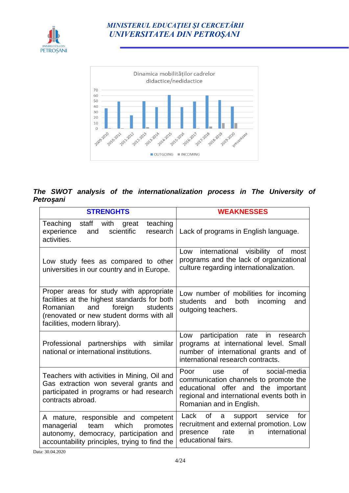



#### *The SWOT analysis of the internationalization process in The University of Petroșani*

| <b>STRENGHTS</b>                                                                                                                                                                                              | <b>WEAKNESSES</b>                                                                                                                                                                                     |
|---------------------------------------------------------------------------------------------------------------------------------------------------------------------------------------------------------------|-------------------------------------------------------------------------------------------------------------------------------------------------------------------------------------------------------|
| Teaching staff with<br>teaching<br>great<br>scientific<br>experience<br>research<br>and<br>activities.                                                                                                        | Lack of programs in English language.                                                                                                                                                                 |
| Low study fees as compared to other<br>universities in our country and in Europe.                                                                                                                             | international visibility of most<br>Low<br>programs and the lack of organizational<br>culture regarding internationalization.                                                                         |
| Proper areas for study with appropriate<br>facilities at the highest standards for both<br>Romanian<br>and<br>foreign<br>students<br>(renovated or new student dorms with all<br>facilities, modern library). | Low number of mobilities for incoming<br>both<br>students<br>incoming<br>and<br>and<br>outgoing teachers.                                                                                             |
| Professional<br>partnerships with<br>similar<br>national or international institutions.                                                                                                                       | participation rate in research<br>Low<br>programs at international level. Small<br>number of international grants and of<br>international research contracts.                                         |
| Teachers with activities in Mining, Oil and<br>Gas extraction won several grants and<br>participated in programs or had research<br>contracts abroad.                                                         | <sub>of</sub><br>Poor<br>social-media<br>use<br>communication channels to promote the<br>educational offer and the important<br>regional and international events both in<br>Romanian and in English. |
| A mature, responsible and<br>competent<br>which<br>promotes<br>managerial<br>team<br>autonomy, democracy, participation and<br>accountability principles, trying to find the                                  | Lack<br>of<br>for<br>support<br>service<br>a<br>recruitment and external promotion. Low<br>international<br>rate<br>$\mathsf{in}$<br>presence<br>educational fairs.                                   |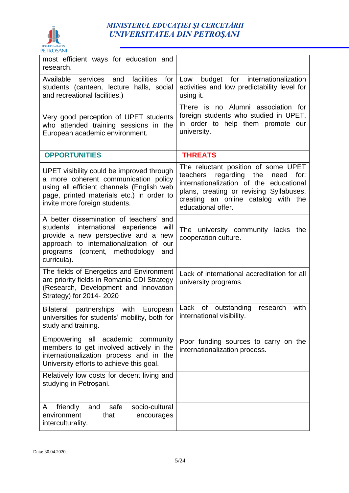

#### *MINISTERUL EDUCAŢIEI ŞI CERCETĂRII UNIVERSITATEA DIN PETROŞANI*

| most efficient ways for education and<br>research.                                                                                                                                                                                  |                                                                                                                                                                                                                                        |
|-------------------------------------------------------------------------------------------------------------------------------------------------------------------------------------------------------------------------------------|----------------------------------------------------------------------------------------------------------------------------------------------------------------------------------------------------------------------------------------|
| Available<br>facilities<br>services<br>and<br>for<br>students (canteen, lecture halls, social<br>and recreational facilities.)                                                                                                      | budget for internationalization<br>Low<br>activities and low predictability level for<br>using it.                                                                                                                                     |
| Very good perception of UPET students<br>who attended training sessions in the<br>European academic environment.                                                                                                                    | There is no Alumni association for<br>foreign students who studied in UPET,<br>in order to help them promote our<br>university.                                                                                                        |
| <b>OPPORTUNITIES</b>                                                                                                                                                                                                                | <b>THREATS</b>                                                                                                                                                                                                                         |
| UPET visibility could be improved through<br>a more coherent communication policy<br>using all efficient channels (English web<br>page, printed materials etc.) in order to<br>invite more foreign students.                        | The reluctant position of some UPET<br>teachers<br>regarding<br>the<br>for:<br>need<br>internationalization of the educational<br>plans, creating or revising Syllabuses,<br>creating an online catalog with the<br>educational offer. |
| A better dissemination of teachers' and<br>students' international experience<br>will<br>provide a new perspective and a new<br>approach to internationalization of our<br>programs<br>(content, methodology)<br>and<br>curricula). | The university community lacks<br>the<br>cooperation culture.                                                                                                                                                                          |
| The fields of Energetics and Environment<br>are priority fields in Romania CDI Strategy<br>(Research, Development and Innovation<br>Strategy) for 2014- 2020                                                                        | Lack of international accreditation for all<br>university programs.                                                                                                                                                                    |
| Bilateral partnerships with<br>European<br>universities for students' mobility, both for<br>study and training.                                                                                                                     | Lack<br>of<br>with<br>outstanding<br>research<br>international visibility.                                                                                                                                                             |
| Empowering all academic community<br>members to get involved actively in the<br>internationalization process and in the<br>University efforts to achieve this goal.                                                                 | Poor funding sources to carry on the<br>internationalization process.                                                                                                                                                                  |
| Relatively low costs for decent living and<br>studying in Petrosani.                                                                                                                                                                |                                                                                                                                                                                                                                        |
| socio-cultural<br>friendly<br>safe<br>and<br>A<br>environment<br>that<br>encourages<br>interculturality.                                                                                                                            |                                                                                                                                                                                                                                        |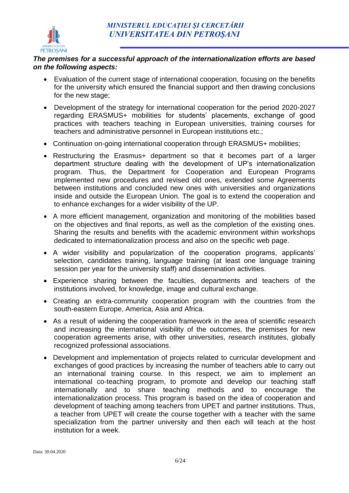

#### *The premises for a successful approach of the internationalization efforts are based on the following aspects:*

- Evaluation of the current stage of international cooperation, focusing on the benefits for the university which ensured the financial support and then drawing conclusions for the new stage;
- Development of the strategy for international cooperation for the period 2020-2027 regarding ERASMUS+ mobilities for students' placements, exchange of good practices with teachers teaching in European universities, training courses for teachers and administrative personnel in European institutions etc.;
- Continuation on-going international cooperation through ERASMUS+ mobilities;
- Restructuring the Erasmus+ department so that it becomes part of a larger department structure dealing with the development of UP's internationalization program. Thus, the Department for Cooperation and European Programs implemented new procedures and revised old ones, extended some Agreements between institutions and concluded new ones with universities and organizations inside and outside the European Union. The goal is to extend the cooperation and to enhance exchanges for a wider visibility of the UP.
- A more efficient management, organization and monitoring of the mobilities based on the objectives and final reports, as well as the completion of the existing ones. Sharing the results and benefits with the academic environment within workshops dedicated to internationalization process and also on the specific web page.
- A wider visibility and popularization of the cooperation programs, applicants' selection, candidates training, language training (at least one language training session per year for the university staff) and dissemination activities.
- Experience sharing between the faculties, departments and teachers of the institutions involved, for knowledge, image and cultural exchange.
- Creating an extra-community cooperation program with the countries from the south-eastern Europe, America, Asia and Africa.
- As a result of widening the cooperation framework in the area of scientific research and increasing the international visibility of the outcomes, the premises for new cooperation agreements arise, with other universities, research institutes, globally recognized professional associations.
- Development and implementation of projects related to curricular development and exchanges of good practices by increasing the number of teachers able to carry out an international training course. In this respect, we aim to implement an international co-teaching program, to promote and develop our teaching staff internationally and to share teaching methods and to encourage the internationalization process. This program is based on the idea of cooperation and development of teaching among teachers from UPET and partner institutions. Thus, a teacher from UPET will create the course together with a teacher with the same specialization from the partner university and then each will teach at the host institution for a week.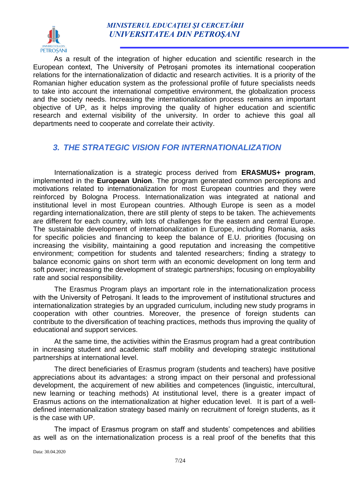

As a result of the integration of higher education and scientific research in the European context, The University of Petroșani promotes its international cooperation relations for the internationalization of didactic and research activities. It is a priority of the Romanian higher education system as the professional profile of future specialists needs to take into account the international competitive environment, the globalization process and the society needs. Increasing the internationalization process remains an important objective of UP, as it helps improving the quality of higher education and scientific research and external visibility of the university. In order to achieve this goal all departments need to cooperate and correlate their activity.

#### *3. THE STRATEGIC VISION FOR INTERNATIONALIZATION*

Internationalization is a strategic process derived from **ERASMUS+ program**, implemented in the **European Union**. The program generated common perceptions and motivations related to internationalization for most European countries and they were reinforced by Bologna Process. Internationalization was integrated at national and institutional level in most European countries. Although Europe is seen as a model regarding internationalization, there are still plenty of steps to be taken. The achievements are different for each country, with lots of challenges for the eastern and central Europe. The sustainable development of internationalization in Europe, including Romania, asks for specific policies and financing to keep the balance of E.U. priorities (focusing on increasing the visibility, maintaining a good reputation and increasing the competitive environment; competition for students and talented researchers; finding a strategy to balance economic gains on short term with an economic development on long term and soft power; increasing the development of strategic partnerships; focusing on employability rate and social responsibility.

The Erasmus Program plays an important role in the internationalization process with the University of Petroșani. It leads to the improvement of institutional structures and internationalization strategies by an upgraded curriculum, including new study programs in cooperation with other countries. Moreover, the presence of foreign students can contribute to the diversification of teaching practices, methods thus improving the quality of educational and support services.

At the same time, the activities within the Erasmus program had a great contribution in increasing student and academic staff mobility and developing strategic institutional partnerships at international level.

The direct beneficiaries of Erasmus program (students and teachers) have positive appreciations about its advantages: a strong impact on their personal and professional development, the acquirement of new abilities and competences (linguistic, intercultural, new learning or teaching methods) At institutional level, there is a greater impact of Erasmus actions on the internationalization at higher education level. It is part of a welldefined internationalization strategy based mainly on recruitment of foreign students, as it is the case with UP.

The impact of Erasmus program on staff and students' competences and abilities as well as on the internationalization process is a real proof of the benefits that this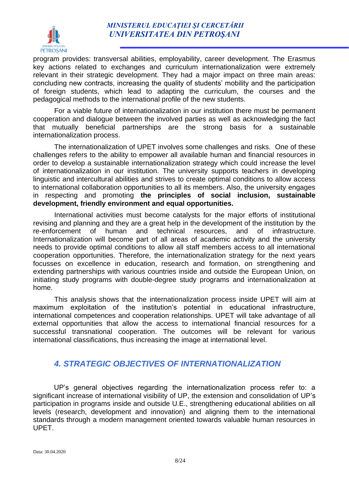

program provides: transversal abilities, employability, career development. The Erasmus key actions related to exchanges and curriculum internationalization were extremely relevant in their strategic development. They had a major impact on three main areas: concluding new contracts, increasing the quality of students' mobility and the participation of foreign students, which lead to adapting the curriculum, the courses and the pedagogical methods to the international profile of the new students.

For a viable future of internationalization in our institution there must be permanent cooperation and dialogue between the involved parties as well as acknowledging the fact that mutually beneficial partnerships are the strong basis for a sustainable internationalization process.

The internationalization of UPET involves some challenges and risks. One of these challenges refers to the ability to empower all available human and financial resources in order to develop a sustainable internationalization strategy which could increase the level of internationalization in our institution. The university supports teachers in developing linguistic and intercultural abilities and strives to create optimal conditions to allow access to international collaboration opportunities to all its members. Also, the university engages in respecting and promoting **the principles of social inclusion, sustainable development, friendly environment and equal opportunities.**

International activities must become catalysts for the major efforts of institutional revising and planning and they are a great help in the development of the institution by the re-enforcement of human and technical resources, and of infrastructure. Internationalization will become part of all areas of academic activity and the university needs to provide optimal conditions to allow all staff members access to all international cooperation opportunities. Therefore, the internationalization strategy for the next years focusses on excellence in education, research and formation, on strengthening and extending partnerships with various countries inside and outside the European Union, on initiating study programs with double-degree study programs and internationalization at home.

This analysis shows that the internationalization process inside UPET will aim at maximum exploitation of the institution's potential in educational infrastructure, international competences and cooperation relationships. UPET will take advantage of all external opportunities that allow the access to international financial resources for a successful transnational cooperation. The outcomes will be relevant for various international classifications, thus increasing the image at international level.

#### *4. STRATEGIC OBJECTIVES OF INTERNATIONALIZATION*

UP's general objectives regarding the internationalization process refer to: a significant increase of international visibility of UP, the extension and consolidation of UP's participation in programs inside and outside U.E., strengthening educational abilities on all levels (research, development and innovation) and aligning them to the international standards through a modern management oriented towards valuable human resources in UPET.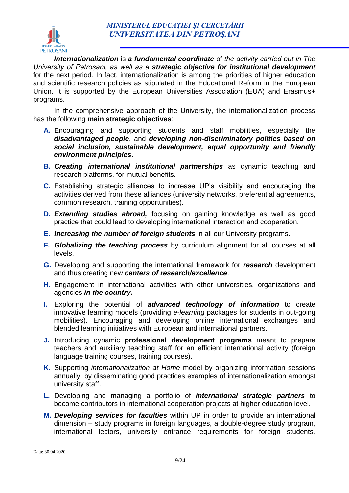

*Internationalization* is *a fundamental coordinate* of *the activity carried out in The University of Petroșani, as well as a strategic objective for institutional development*  for the next period. In fact, internationalization is among the priorities of higher education and scientific research policies as stipulated in the Educational Reform in the European Union. It is supported by the European Universities Association (EUA) and Erasmus+ programs.

In the comprehensive approach of the University, the internationalization process has the following **main strategic objectives**:

- **A.** Encouraging and supporting students and staff mobilities, especially the *disadvantaged people*, and *developing non-discriminatory politics based on social inclusion, sustainable development, equal opportunity and friendly environment principles***.**
- **B.** *Creating international institutional partnerships* as dynamic teaching and research platforms, for mutual benefits.
- **C.** Establishing strategic alliances to increase UP's visibility and encouraging the activities derived from these alliances (university networks, preferential agreements, common research, training opportunities).
- **D.** *Extending studies abroad,* focusing on gaining knowledge as well as good practice that could lead to developing international interaction and cooperation.
- **E.** *Increasing the number of foreign students* in all our University programs.
- **F.** *Globalizing the teaching process* by curriculum alignment for all courses at all levels.
- **G.** Developing and supporting the international framework for *research* development and thus creating new *centers of research/excellence*.
- **H.** Engagement in international activities with other universities, organizations and agencies *in the country.*
- **I.** Exploring the potential of *advanced technology of information* to create innovative learning models (providing *e-learning* packages for students in out-going mobilities). Encouraging and developing online international exchanges and blended learning initiatives with European and international partners.
- **J.** Introducing dynamic **professional development programs** meant to prepare teachers and auxiliary teaching staff for an efficient international activity (foreign language training courses, training courses).
- **K.** Supporting *internationalization at Home* model by organizing information sessions annually, by disseminating good practices examples of internationalization amongst university staff.
- **L.** Developing and managing a portfolio of *international strategic partners* to become contributors in international cooperation projects at higher education level.
- **M.** *Developing services for faculties* within UP in order to provide an international dimension – study programs in foreign languages, a double-degree study program, international lectors, university entrance requirements for foreign students,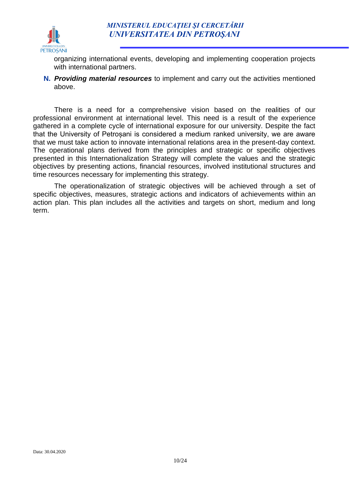

organizing international events, developing and implementing cooperation projects with international partners.

**N.** *Providing material resources* to implement and carry out the activities mentioned above.

There is a need for a comprehensive vision based on the realities of our professional environment at international level. This need is a result of the experience gathered in a complete cycle of international exposure for our university. Despite the fact that the University of Petroșani is considered a medium ranked university, we are aware that we must take action to innovate international relations area in the present-day context. The operational plans derived from the principles and strategic or specific objectives presented in this Internationalization Strategy will complete the values and the strategic objectives by presenting actions, financial resources, involved institutional structures and time resources necessary for implementing this strategy.

The operationalization of strategic objectives will be achieved through a set of specific objectives, measures, strategic actions and indicators of achievements within an action plan. This plan includes all the activities and targets on short, medium and long term.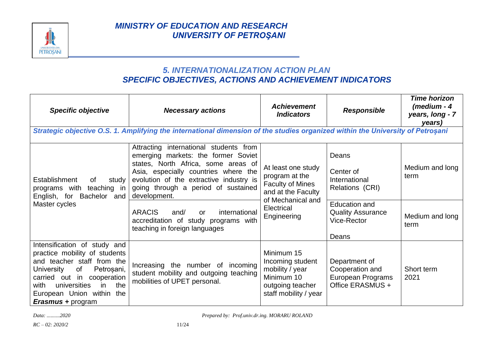

#### *5. INTERNATIONALIZATION ACTION PLAN SPECIFIC OBJECTIVES, ACTIONS AND ACHIEVEMENT INDICATORS*

| <b>Specific objective</b>                                                                                                                                                                                                                                  | <b>Necessary actions</b>                                                                                                                                                                                                                                                                                                                                                                       | <b>Achievement</b><br><b>Indicators</b>                                                                                                 | <b>Responsible</b>                                                                                                                 | <b>Time horizon</b><br>(medium - 4<br>years, long - 7<br>years) |
|------------------------------------------------------------------------------------------------------------------------------------------------------------------------------------------------------------------------------------------------------------|------------------------------------------------------------------------------------------------------------------------------------------------------------------------------------------------------------------------------------------------------------------------------------------------------------------------------------------------------------------------------------------------|-----------------------------------------------------------------------------------------------------------------------------------------|------------------------------------------------------------------------------------------------------------------------------------|-----------------------------------------------------------------|
|                                                                                                                                                                                                                                                            | Strategic objective O.S. 1. Amplifying the international dimension of the studies organized within the University of Petroșani                                                                                                                                                                                                                                                                 |                                                                                                                                         |                                                                                                                                    |                                                                 |
| Establishment<br>study<br>0f<br>programs with<br>teaching in<br>English, for Bachelor and<br>Master cycles                                                                                                                                                 | Attracting international students from<br>emerging markets: the former Soviet<br>states, North Africa, some areas of<br>Asia, especially countries where the<br>evolution of the extractive industry is<br>going through a period of sustained<br>development.<br><b>ARACIS</b><br>international<br>and/<br><b>or</b><br>accreditation of study programs with<br>teaching in foreign languages | At least one study<br>program at the<br><b>Faculty of Mines</b><br>and at the Faculty<br>of Mechanical and<br>Electrical<br>Engineering | Deans<br>Center of<br>International<br>Relations (CRI)<br><b>Education and</b><br><b>Quality Assurance</b><br>Vice-Rector<br>Deans | Medium and long<br>term<br>Medium and long<br>term              |
| Intensification of study and<br>practice mobility of students<br>and teacher staff from the<br>of<br>University<br>Petroșani,<br>carried out in cooperation<br>universities<br>the<br>with<br>in.<br>European Union within the<br><b>Erasmus + program</b> | Increasing the number of incoming<br>student mobility and outgoing teaching<br>mobilities of UPET personal.                                                                                                                                                                                                                                                                                    | Minimum 15<br>Incoming student<br>mobility / year<br>Minimum 10<br>outgoing teacher<br>staff mobility / year                            | Department of<br>Cooperation and<br>European Programs<br>Office ERASMUS +                                                          | Short term<br>2021                                              |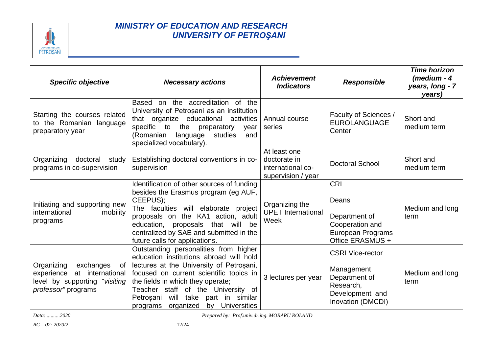

| <b>Specific objective</b>                                                                                               | <b>Necessary actions</b>                                                                                                                                                                                                                                                                                                                 | <b>Achievement</b><br><b>Indicators</b>                                 | <b>Responsible</b>                                                                                          | <b>Time horizon</b><br>(medium - $4$<br>years, long - 7<br>years) |
|-------------------------------------------------------------------------------------------------------------------------|------------------------------------------------------------------------------------------------------------------------------------------------------------------------------------------------------------------------------------------------------------------------------------------------------------------------------------------|-------------------------------------------------------------------------|-------------------------------------------------------------------------------------------------------------|-------------------------------------------------------------------|
| Starting the courses related<br>to the Romanian language<br>preparatory year                                            | Based on the accreditation of the<br>University of Petrosani as an institution<br>that organize educational activities<br>specific to the preparatory<br>year<br>(Romanian<br>studies<br>language<br>and<br>specialized vocabulary).                                                                                                     | Annual course<br>series                                                 | Faculty of Sciences /<br><b>EUROLANGUAGE</b><br>Center                                                      | Short and<br>medium term                                          |
| Organizing<br>doctoral<br>study<br>programs in co-supervision                                                           | Establishing doctoral conventions in co-<br>supervision                                                                                                                                                                                                                                                                                  | At least one<br>doctorate in<br>international co-<br>supervision / year | <b>Doctoral School</b>                                                                                      | Short and<br>medium term                                          |
| Initiating and supporting new<br>mobility<br>international<br>programs                                                  | Identification of other sources of funding<br>besides the Erasmus program (eg AUF,<br>CEEPUS);<br>The faculties will elaborate project<br>proposals on the KA1 action, adult<br>education, proposals that will be<br>centralized by SAE and submitted in the<br>future calls for applications.                                           | Organizing the<br><b>UPET</b> International<br>Week                     | <b>CRI</b><br>Deans<br>Department of<br>Cooperation and<br>European Programs<br>Office ERASMUS +            | Medium and long<br>term                                           |
| Organizing<br>exchanges<br>of<br>at international<br>experience<br>level by supporting "visiting<br>professor" programs | Outstanding personalities from higher<br>education institutions abroad will hold<br>lectures at the University of Petrosani,<br>focused on current scientific topics in<br>the fields in which they operate;<br>Teacher staff of the University of<br>will take part in similar<br>Petrosani<br>by Universities<br>organized<br>programs | 3 lectures per year                                                     | <b>CSRI Vice-rector</b><br>Management<br>Department of<br>Research,<br>Development and<br>Inovation (DMCDI) | Medium and long<br>term                                           |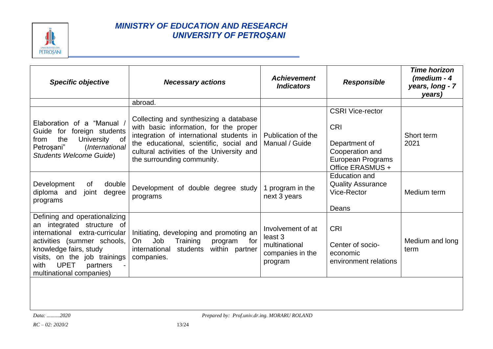

| <b>Specific objective</b>                                                                                                                                                                                                                                | <b>Necessary actions</b>                                                                                                                                                                                                                           | <b>Achievement</b><br><b>Indicators</b>                                      | <b>Responsible</b>                                                                                                 | <b>Time horizon</b><br>$(m$ edium - 4<br>years, long - 7<br>years) |
|----------------------------------------------------------------------------------------------------------------------------------------------------------------------------------------------------------------------------------------------------------|----------------------------------------------------------------------------------------------------------------------------------------------------------------------------------------------------------------------------------------------------|------------------------------------------------------------------------------|--------------------------------------------------------------------------------------------------------------------|--------------------------------------------------------------------|
|                                                                                                                                                                                                                                                          | abroad.                                                                                                                                                                                                                                            |                                                                              |                                                                                                                    |                                                                    |
| Elaboration of a "Manual /<br>for foreign students<br>Guide<br>the<br>$\circ$ of<br>University<br>from<br>Petroșani"<br>(International<br><b>Students Welcome Guide)</b>                                                                                 | Collecting and synthesizing a database<br>with basic information, for the proper<br>integration of international students in<br>the educational, scientific, social and<br>cultural activities of the University and<br>the surrounding community. | Publication of the<br>Manual / Guide                                         | <b>CSRI Vice-rector</b><br><b>CRI</b><br>Department of<br>Cooperation and<br>European Programs<br>Office ERASMUS + | Short term<br>2021                                                 |
| Development<br>double<br>of<br>degree<br>diploma and<br>joint<br>programs                                                                                                                                                                                | Development of double degree study  <br>programs                                                                                                                                                                                                   | 1 program in the<br>next 3 years                                             | <b>Education and</b><br><b>Quality Assurance</b><br>Vice-Rector<br>Deans                                           | Medium term                                                        |
| Defining and operationalizing<br>integrated structure of<br>an<br>international extra-curricular<br>activities (summer schools,<br>knowledge fairs, study<br>visits, on the job trainings<br><b>UPET</b><br>with<br>partners<br>multinational companies) | Initiating, developing and promoting an<br>for<br>Job<br>Training<br>On<br>program<br>international<br>students within partner<br>companies.                                                                                                       | Involvement of at<br>least 3<br>multinational<br>companies in the<br>program | <b>CRI</b><br>Center of socio-<br>economic<br>environment relations                                                | Medium and long<br>term                                            |
|                                                                                                                                                                                                                                                          |                                                                                                                                                                                                                                                    |                                                                              |                                                                                                                    |                                                                    |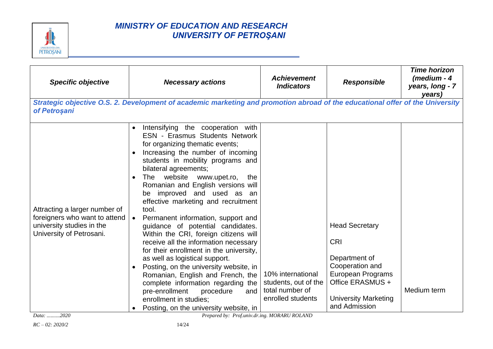

| <b>Specific objective</b>                                                                                               | <b>Necessary actions</b>                                                                                                                                                                                                                                                                                                                                                                                                                                                                                                                                                                                                                                                                                                                                                                                                                                        | <b>Achievement</b><br><b>Indicators</b>                                           | <b>Responsible</b>                                                                                                                                               | <b>Time horizon</b><br>(medium - 4<br>years, long - 7<br>years) |
|-------------------------------------------------------------------------------------------------------------------------|-----------------------------------------------------------------------------------------------------------------------------------------------------------------------------------------------------------------------------------------------------------------------------------------------------------------------------------------------------------------------------------------------------------------------------------------------------------------------------------------------------------------------------------------------------------------------------------------------------------------------------------------------------------------------------------------------------------------------------------------------------------------------------------------------------------------------------------------------------------------|-----------------------------------------------------------------------------------|------------------------------------------------------------------------------------------------------------------------------------------------------------------|-----------------------------------------------------------------|
| of Petroșani                                                                                                            | Strategic objective O.S. 2. Development of academic marketing and promotion abroad of the educational offer of the University                                                                                                                                                                                                                                                                                                                                                                                                                                                                                                                                                                                                                                                                                                                                   |                                                                                   |                                                                                                                                                                  |                                                                 |
| Attracting a larger number of<br>foreigners who want to attend<br>university studies in the<br>University of Petrosani. | Intensifying the cooperation with<br><b>ESN - Erasmus Students Network</b><br>for organizing thematic events;<br>Increasing the number of incoming<br>students in mobility programs and<br>bilateral agreements;<br>The website www.upet.ro,<br>the<br>$\bullet$<br>Romanian and English versions will<br>be improved and used as an<br>effective marketing and recruitment<br>tool.<br>• Permanent information, support and<br>guidance of potential candidates.<br>Within the CRI, foreign citizens will<br>receive all the information necessary<br>for their enrollment in the university,<br>as well as logistical support.<br>Posting, on the university website, in<br>Romanian, English and French, the<br>complete information regarding the<br>pre-enrollment<br>procedure<br>and<br>enrollment in studies;<br>Posting, on the university website, in | 10% international<br>students, out of the<br>total number of<br>enrolled students | <b>Head Secretary</b><br><b>CRI</b><br>Department of<br>Cooperation and<br>European Programs<br>Office ERASMUS +<br><b>University Marketing</b><br>and Admission | Medium term                                                     |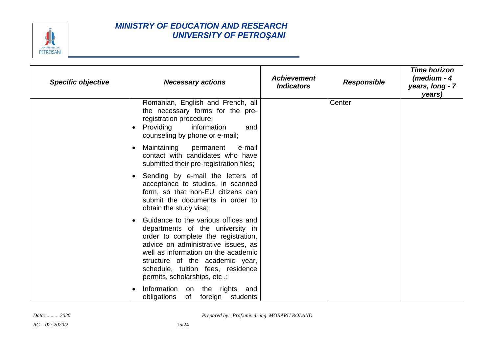

| <b>Specific objective</b> | <b>Necessary actions</b>                                                                                                                                                                                                                                                                              | <b>Achievement</b><br><b>Indicators</b> | <b>Responsible</b> | <b>Time horizon</b><br>(medium - 4<br>years, long - 7<br>years) |
|---------------------------|-------------------------------------------------------------------------------------------------------------------------------------------------------------------------------------------------------------------------------------------------------------------------------------------------------|-----------------------------------------|--------------------|-----------------------------------------------------------------|
|                           | Romanian, English and French, all<br>the necessary forms for the pre-<br>registration procedure;<br>Providing<br>information<br>and<br>counseling by phone or e-mail;                                                                                                                                 |                                         | Center             |                                                                 |
|                           | Maintaining<br>permanent<br>e-mail<br>$\bullet$<br>contact with candidates who have<br>submitted their pre-registration files;                                                                                                                                                                        |                                         |                    |                                                                 |
|                           | Sending by e-mail the letters of<br>acceptance to studies, in scanned<br>form, so that non-EU citizens can<br>submit the documents in order to<br>obtain the study visa;                                                                                                                              |                                         |                    |                                                                 |
|                           | Guidance to the various offices and<br>departments of the university in<br>order to complete the registration,<br>advice on administrative issues, as<br>well as information on the academic<br>structure of the academic year,<br>schedule, tuition fees, residence<br>permits, scholarships, etc .; |                                         |                    |                                                                 |
|                           | Information on the rights and<br>obligations<br>foreign students<br>of                                                                                                                                                                                                                                |                                         |                    |                                                                 |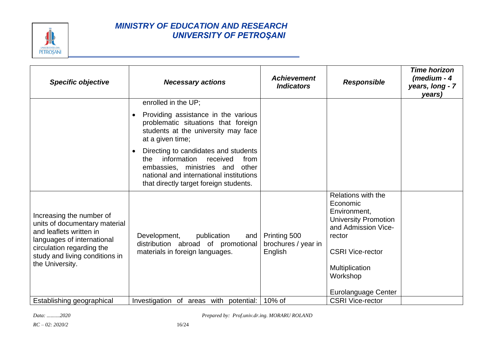

| <b>Specific objective</b>                                                                                                                                                                            | <b>Necessary actions</b>                                                                                                                                                                                  | <b>Achievement</b><br><b>Indicators</b>        | <b>Responsible</b>                                                                                                                                                                                    | <b>Time horizon</b><br>$(m$ edium - 4<br>years, long - 7<br>years) |
|------------------------------------------------------------------------------------------------------------------------------------------------------------------------------------------------------|-----------------------------------------------------------------------------------------------------------------------------------------------------------------------------------------------------------|------------------------------------------------|-------------------------------------------------------------------------------------------------------------------------------------------------------------------------------------------------------|--------------------------------------------------------------------|
|                                                                                                                                                                                                      | enrolled in the UP;                                                                                                                                                                                       |                                                |                                                                                                                                                                                                       |                                                                    |
|                                                                                                                                                                                                      | Providing assistance in the various<br>problematic situations that foreign<br>students at the university may face<br>at a given time;                                                                     |                                                |                                                                                                                                                                                                       |                                                                    |
|                                                                                                                                                                                                      | Directing to candidates and students<br>received<br>information<br>from<br>the<br>embassies, ministries and<br>other<br>national and international institutions<br>that directly target foreign students. |                                                |                                                                                                                                                                                                       |                                                                    |
| Increasing the number of<br>units of documentary material<br>and leaflets written in<br>languages of international<br>circulation regarding the<br>study and living conditions in<br>the University. | Development,<br>publication<br>and<br>distribution abroad of promotional<br>materials in foreign languages.                                                                                               | Printing 500<br>brochures / year in<br>English | Relations with the<br>Economic<br>Environment,<br><b>University Promotion</b><br>and Admission Vice-<br>rector<br><b>CSRI Vice-rector</b><br>Multiplication<br>Workshop<br><b>Eurolanguage Center</b> |                                                                    |
| Establishing geographical                                                                                                                                                                            | Investigation of areas with potential:                                                                                                                                                                    | 10% of                                         | <b>CSRI Vice-rector</b>                                                                                                                                                                               |                                                                    |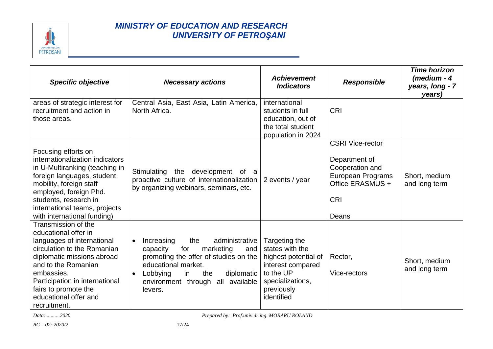

| <b>Specific objective</b>                                                                                                                                                                                                                                                      | <b>Necessary actions</b>                                                                                                                                                                                                                       | <b>Achievement</b><br><b>Indicators</b>                                                                                                    | <b>Responsible</b>                                                                                                          | <b>Time horizon</b><br>(medium - 4<br>years, long - 7<br>years) |
|--------------------------------------------------------------------------------------------------------------------------------------------------------------------------------------------------------------------------------------------------------------------------------|------------------------------------------------------------------------------------------------------------------------------------------------------------------------------------------------------------------------------------------------|--------------------------------------------------------------------------------------------------------------------------------------------|-----------------------------------------------------------------------------------------------------------------------------|-----------------------------------------------------------------|
| areas of strategic interest for<br>recruitment and action in<br>those areas.                                                                                                                                                                                                   | Central Asia, East Asia, Latin America,<br>North Africa.                                                                                                                                                                                       | international<br>students in full<br>education, out of<br>the total student<br>population in 2024                                          | <b>CRI</b>                                                                                                                  |                                                                 |
| Focusing efforts on<br>internationalization indicators<br>in U-Multiranking (teaching in<br>foreign languages, student<br>mobility, foreign staff<br>employed, foreign Phd.<br>students, research in<br>international teams, projects<br>with international funding)           | the<br>development<br>Stimulating<br>of a<br>proactive culture of internationalization<br>by organizing webinars, seminars, etc.                                                                                                               | 2 events / year                                                                                                                            | <b>CSRI Vice-rector</b><br>Department of<br>Cooperation and<br>European Programs<br>Office ERASMUS +<br><b>CRI</b><br>Deans | Short, medium<br>and long term                                  |
| Transmission of the<br>educational offer in<br>languages of international<br>circulation to the Romanian<br>diplomatic missions abroad<br>and to the Romanian<br>embassies.<br>Participation in international<br>fairs to promote the<br>educational offer and<br>recruitment. | Increasing<br>administrative<br>the<br>$\bullet$<br>for<br>capacity<br>marketing<br>and<br>promoting the offer of studies on the<br>educational market.<br>Lobbying<br>the<br>diplomatic<br>in<br>environment through all available<br>levers. | Targeting the<br>states with the<br>highest potential of<br>interest compared<br>to the UP<br>specializations,<br>previously<br>identified | Rector,<br>Vice-rectors                                                                                                     | Short, medium<br>and long term                                  |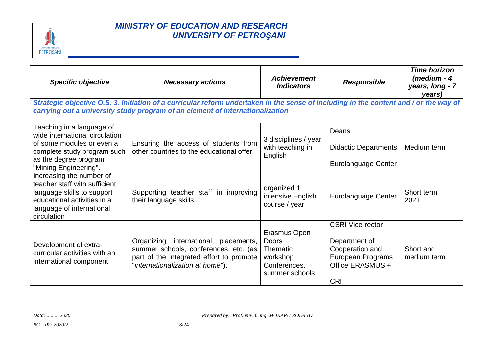

| <b>Specific objective</b>                                                                                                                                          | <b>Necessary actions</b>                                                                                                                                                                                               | <b>Achievement</b><br><b>Indicators</b>                                         | <b>Responsible</b>                                                                                                        | <b>Time horizon</b><br>$(m$ edium - 4<br>years, long - 7<br>years) |  |  |
|--------------------------------------------------------------------------------------------------------------------------------------------------------------------|------------------------------------------------------------------------------------------------------------------------------------------------------------------------------------------------------------------------|---------------------------------------------------------------------------------|---------------------------------------------------------------------------------------------------------------------------|--------------------------------------------------------------------|--|--|
|                                                                                                                                                                    | Strategic objective O.S. 3. Initiation of a curricular reform undertaken in the sense of including in the content and / or the way of<br>carrying out a university study program of an element of internationalization |                                                                                 |                                                                                                                           |                                                                    |  |  |
| Teaching in a language of<br>wide international circulation                                                                                                        |                                                                                                                                                                                                                        | 3 disciplines / year                                                            | Deans                                                                                                                     |                                                                    |  |  |
| of some modules or even a<br>complete study program such                                                                                                           | Ensuring the access of students from<br>other countries to the educational offer.                                                                                                                                      | with teaching in<br>English                                                     | <b>Didactic Departments</b>                                                                                               | Medium term                                                        |  |  |
| as the degree program<br>"Mining Engineering".                                                                                                                     |                                                                                                                                                                                                                        |                                                                                 | Eurolanguage Center                                                                                                       |                                                                    |  |  |
| Increasing the number of<br>teacher staff with sufficient<br>language skills to support<br>educational activities in a<br>language of international<br>circulation | Supporting teacher staff in improving<br>their language skills.                                                                                                                                                        | organized 1<br>intensive English<br>course / year                               | Eurolanguage Center                                                                                                       | Short term<br>2021                                                 |  |  |
| Development of extra-<br>curricular activities with an<br>international component                                                                                  | Organizing international placements,<br>summer schools, conferences, etc. (as<br>part of the integrated effort to promote<br>"internationalization at home").                                                          | Erasmus Open<br>Doors<br>Thematic<br>workshop<br>Conferences,<br>summer schools | <b>CSRI Vice-rector</b><br>Department of<br>Cooperation and<br><b>European Programs</b><br>Office ERASMUS +<br><b>CRI</b> | Short and<br>medium term                                           |  |  |
|                                                                                                                                                                    |                                                                                                                                                                                                                        |                                                                                 |                                                                                                                           |                                                                    |  |  |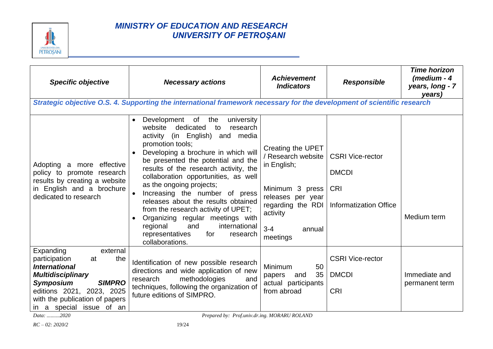

| <b>Specific objective</b>                                                                                                                                                                                                               | <b>Necessary actions</b>                                                                                                                                                                                                                                                                                                                                                                                                                                                                                                                                                        | <b>Achievement</b><br><b>Indicators</b>                                                                                                                          | <b>Responsible</b>                                                              | <b>Time horizon</b><br>(medium - 4<br>years, long - 7<br>years) |
|-----------------------------------------------------------------------------------------------------------------------------------------------------------------------------------------------------------------------------------------|---------------------------------------------------------------------------------------------------------------------------------------------------------------------------------------------------------------------------------------------------------------------------------------------------------------------------------------------------------------------------------------------------------------------------------------------------------------------------------------------------------------------------------------------------------------------------------|------------------------------------------------------------------------------------------------------------------------------------------------------------------|---------------------------------------------------------------------------------|-----------------------------------------------------------------|
|                                                                                                                                                                                                                                         | Strategic objective O.S. 4. Supporting the international framework necessary for the development of scientific research                                                                                                                                                                                                                                                                                                                                                                                                                                                         |                                                                                                                                                                  |                                                                                 |                                                                 |
| Adopting a more effective<br>policy to promote research<br>results by creating a website<br>in English and a brochure<br>dedicated to research                                                                                          | university<br>Development of<br>the<br>dedicated<br>website<br>research<br>to<br>activity (in English) and media<br>promotion tools;<br>Developing a brochure in which will<br>be presented the potential and the<br>results of the research activity, the<br>collaboration opportunities, as well<br>as the ongoing projects;<br>Increasing the number of press<br>releases about the results obtained<br>from the research activity of UPET;<br>Organizing regular meetings with<br>and<br>regional<br>international<br>representatives<br>for<br>research<br>collaborations. | Creating the UPET<br>/ Research website<br>in English;<br>Minimum 3 press<br>releases per year<br>regarding the RDI<br>activity<br>$3 - 4$<br>annual<br>meetings | <b>CSRI Vice-rector</b><br><b>DMCDI</b><br>CRI<br><b>Informatization Office</b> | Medium term                                                     |
| Expanding<br>external<br>participation<br>the<br>at<br><b>International</b><br><b>Multidisciplinary</b><br><b>Symposium</b><br><b>SIMPRO</b><br>editions 2021, 2023, 2025<br>with the publication of papers<br>in a special issue of an | Identification of new possible research<br>directions and wide application of new<br>methodologies<br>and<br>research<br>techniques, following the organization of<br>future editions of SIMPRO.                                                                                                                                                                                                                                                                                                                                                                                | Minimum<br>50<br>35<br>and<br>papers<br>actual participants<br>from abroad                                                                                       | <b>CSRI Vice-rector</b><br><b>DMCDI</b><br><b>CRI</b>                           | Immediate and<br>permanent term                                 |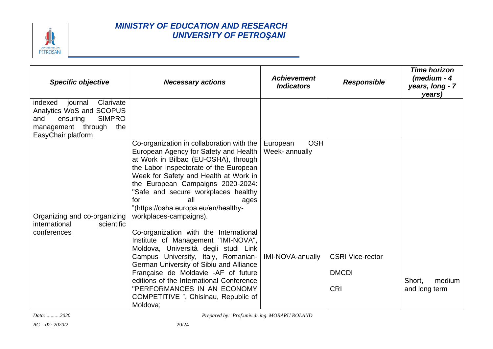

| <b>Specific objective</b>                                                                                                                       | <b>Necessary actions</b>                                                                                                                                                                                                                                                                                                                                                          | <b>Achievement</b><br><b>Indicators</b>  | <b>Responsible</b>                                    | <b>Time horizon</b><br>(medium - 4<br>years, long - 7<br>years) |
|-------------------------------------------------------------------------------------------------------------------------------------------------|-----------------------------------------------------------------------------------------------------------------------------------------------------------------------------------------------------------------------------------------------------------------------------------------------------------------------------------------------------------------------------------|------------------------------------------|-------------------------------------------------------|-----------------------------------------------------------------|
| Clarivate<br>indexed<br>journal<br>Analytics WoS and SCOPUS<br><b>SIMPRO</b><br>and<br>ensuring<br>management through the<br>EasyChair platform |                                                                                                                                                                                                                                                                                                                                                                                   |                                          |                                                       |                                                                 |
| Organizing and co-organizing<br>international<br>scientific                                                                                     | Co-organization in collaboration with the<br>European Agency for Safety and Health<br>at Work in Bilbao (EU-OSHA), through<br>the Labor Inspectorate of the European<br>Week for Safety and Health at Work in<br>the European Campaigns 2020-2024:<br>"Safe and secure workplaces healthy<br>all<br>for<br>ages<br>"(https://osha.europa.eu/en/healthy-<br>workplaces-campaigns). | <b>OSH</b><br>European<br>Week- annually |                                                       |                                                                 |
| conferences                                                                                                                                     | Co-organization with the International<br>Institute of Management "IMI-NOVA",<br>Moldova, Università degli studi Link<br>Campus University, Italy, Romanian-<br>German University of Sibiu and Alliance<br>Française de Moldavie -AF of future<br>editions of the International Conference<br>"PERFORMANCES IN AN ECONOMY<br>COMPETITIVE ", Chisinau, Republic of<br>Moldova:     | <b>IMI-NOVA-anually</b>                  | <b>CSRI Vice-rector</b><br><b>DMCDI</b><br><b>CRI</b> | Short.<br>medium<br>and long term                               |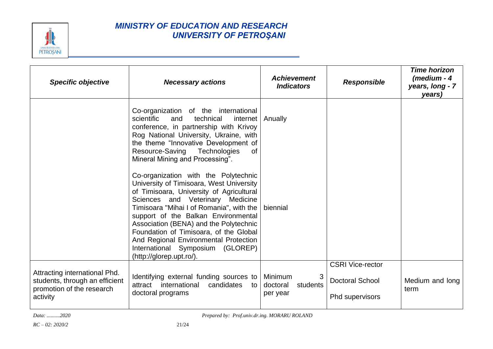

| <b>Specific objective</b>                                                                                | <b>Necessary actions</b>                                                                                                                                                                                                                                                                                                                                                                                                                           | <b>Achievement</b><br><b>Indicators</b>          | <b>Responsible</b>                                                   | <b>Time horizon</b><br>$(m$ edium - 4<br>years, long - 7<br>years) |
|----------------------------------------------------------------------------------------------------------|----------------------------------------------------------------------------------------------------------------------------------------------------------------------------------------------------------------------------------------------------------------------------------------------------------------------------------------------------------------------------------------------------------------------------------------------------|--------------------------------------------------|----------------------------------------------------------------------|--------------------------------------------------------------------|
|                                                                                                          | Co-organization of the international<br>scientific<br>and<br>technical<br>internet   Anually<br>conference, in partnership with Krivoy<br>Rog National University, Ukraine, with<br>the theme "Innovative Development of<br>Technologies<br>Resource-Saving<br><b>of</b><br>Mineral Mining and Processing".                                                                                                                                        |                                                  |                                                                      |                                                                    |
|                                                                                                          | Co-organization with the Polytechnic<br>University of Timisoara, West University<br>of Timisoara, University of Agricultural<br>Sciences and Veterinary Medicine<br>Timisoara "Mihai I of Romania", with the  <br>support of the Balkan Environmental<br>Association (BENA) and the Polytechnic<br>Foundation of Timisoara, of the Global<br>And Regional Environmental Protection<br>International Symposium (GLOREP)<br>(http://glorep.upt.ro/). | biennial                                         |                                                                      |                                                                    |
| Attracting international Phd.<br>students, through an efficient<br>promotion of the research<br>activity | Identifying external funding sources to<br>international<br>candidates<br>attract<br>to<br>doctoral programs                                                                                                                                                                                                                                                                                                                                       | Minimum<br>3<br>doctoral<br>students<br>per year | <b>CSRI Vice-rector</b><br><b>Doctoral School</b><br>Phd supervisors | Medium and long<br>term                                            |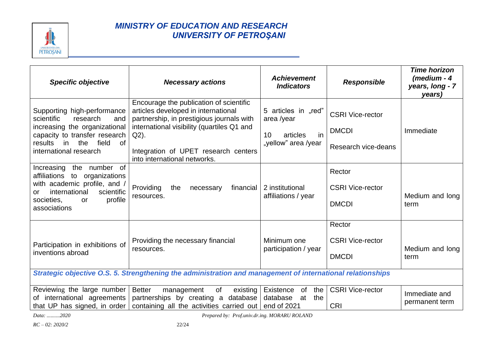

| <b>Specific objective</b>                                                                                                                                                                                  | <b>Necessary actions</b>                                                                                                                                                                                                                                  | <b>Achievement</b><br><b>Indicators</b>                                          | <b>Responsible</b>                                             | <b>Time horizon</b><br>$(m$ edium - 4<br>years, long - 7<br>years) |
|------------------------------------------------------------------------------------------------------------------------------------------------------------------------------------------------------------|-----------------------------------------------------------------------------------------------------------------------------------------------------------------------------------------------------------------------------------------------------------|----------------------------------------------------------------------------------|----------------------------------------------------------------|--------------------------------------------------------------------|
| Supporting high-performance<br>scientific<br>research<br>and<br>increasing the organizational<br>capacity to transfer research<br>the<br>results<br>field<br>in<br><sub>of</sub><br>international research | Encourage the publication of scientific<br>articles developed in international<br>partnership, in prestigious journals with<br>international visibility (quartiles Q1 and<br>Q2).<br>Integration of UPET research centers<br>into international networks. | 5 articles in "red"<br>area /year<br>10<br>in<br>articles<br>"yellow" area /year | <b>CSRI Vice-rector</b><br><b>DMCDI</b><br>Research vice-deans | Immediate                                                          |
| Increasing the number of<br>affiliations<br>organizations<br>to<br>with academic profile, and /<br>international<br>scientific<br>or.<br>profile<br>societies,<br>or<br>associations                       | Providing<br>financial  <br>the<br>necessary<br>resources.                                                                                                                                                                                                | 2 institutional<br>affiliations / year                                           | Rector<br><b>CSRI Vice-rector</b><br><b>DMCDI</b>              | Medium and long<br>term                                            |
| Participation in exhibitions of<br>inventions abroad                                                                                                                                                       | Providing the necessary financial<br>resources.                                                                                                                                                                                                           | Minimum one<br>participation / year                                              | Rector<br><b>CSRI Vice-rector</b><br><b>DMCDI</b>              | Medium and long<br>term                                            |
| Strategic objective O.S. 5. Strengthening the administration and management of international relationships                                                                                                 |                                                                                                                                                                                                                                                           |                                                                                  |                                                                |                                                                    |
| Reviewing the large number<br>of international agreements<br>that UP has signed, in order                                                                                                                  | <b>Better</b><br>of<br>existing<br>management<br>partnerships by creating a database<br>containing all the activities carried out                                                                                                                         | Existence<br>0f<br>the<br>database<br>the<br>at<br>end of 2021                   | <b>CSRI Vice-rector</b><br><b>CRI</b>                          | Immediate and<br>permanent term                                    |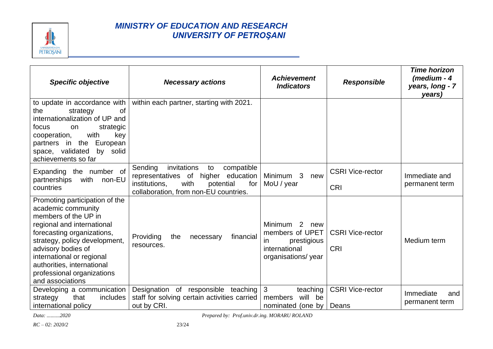

| <b>Specific objective</b>                                                                                                                                                                                                                                                                                    | <b>Necessary actions</b>                                                                                                                                                         | <b>Achievement</b><br><b>Indicators</b>                                                          | <b>Responsible</b>                    | <b>Time horizon</b><br>(medium - 4<br>years, long - 7<br>years) |
|--------------------------------------------------------------------------------------------------------------------------------------------------------------------------------------------------------------------------------------------------------------------------------------------------------------|----------------------------------------------------------------------------------------------------------------------------------------------------------------------------------|--------------------------------------------------------------------------------------------------|---------------------------------------|-----------------------------------------------------------------|
| to update in accordance with<br>the<br>strategy<br>0f<br>internationalization of UP and<br>focus<br>strategic<br>on<br>with<br>key<br>cooperation,<br>partners in the<br>European<br>space, validated<br>by solid<br>achievements so far                                                                     | within each partner, starting with 2021.                                                                                                                                         |                                                                                                  |                                       |                                                                 |
| Expanding the number of<br>with non-EU<br>partnerships<br>countries                                                                                                                                                                                                                                          | Sending<br>invitations<br>compatible<br>to<br>of<br>education<br>representatives<br>higher<br>with<br>institutions,<br>potential<br>for<br>collaboration, from non-EU countries. | Minimum 3<br>new<br>MoU / year                                                                   | <b>CSRI Vice-rector</b><br><b>CRI</b> | Immediate and<br>permanent term                                 |
| Promoting participation of the<br>academic community<br>members of the UP in<br>regional and international<br>forecasting organizations,<br>strategy, policy development,<br>advisory bodies of<br>international or regional<br>authorities, international<br>professional organizations<br>and associations | Providing<br>the<br>financial<br>necessary<br>resources.                                                                                                                         | Minimum 2<br>new<br>members of UPET<br>prestigious<br>in.<br>international<br>organisations/year | <b>CSRI Vice-rector</b><br><b>CRI</b> | Medium term                                                     |
| Developing a communication<br>that<br>includes<br>strategy<br>international policy                                                                                                                                                                                                                           | Designation of responsible teaching<br>staff for solving certain activities carried<br>out by CRI.                                                                               | $\mathbf{3}$<br>teaching<br>will<br>members<br>be<br>nominated (one by                           | <b>CSRI Vice-rector</b><br>Deans      | Immediate<br>and<br>permanent term                              |